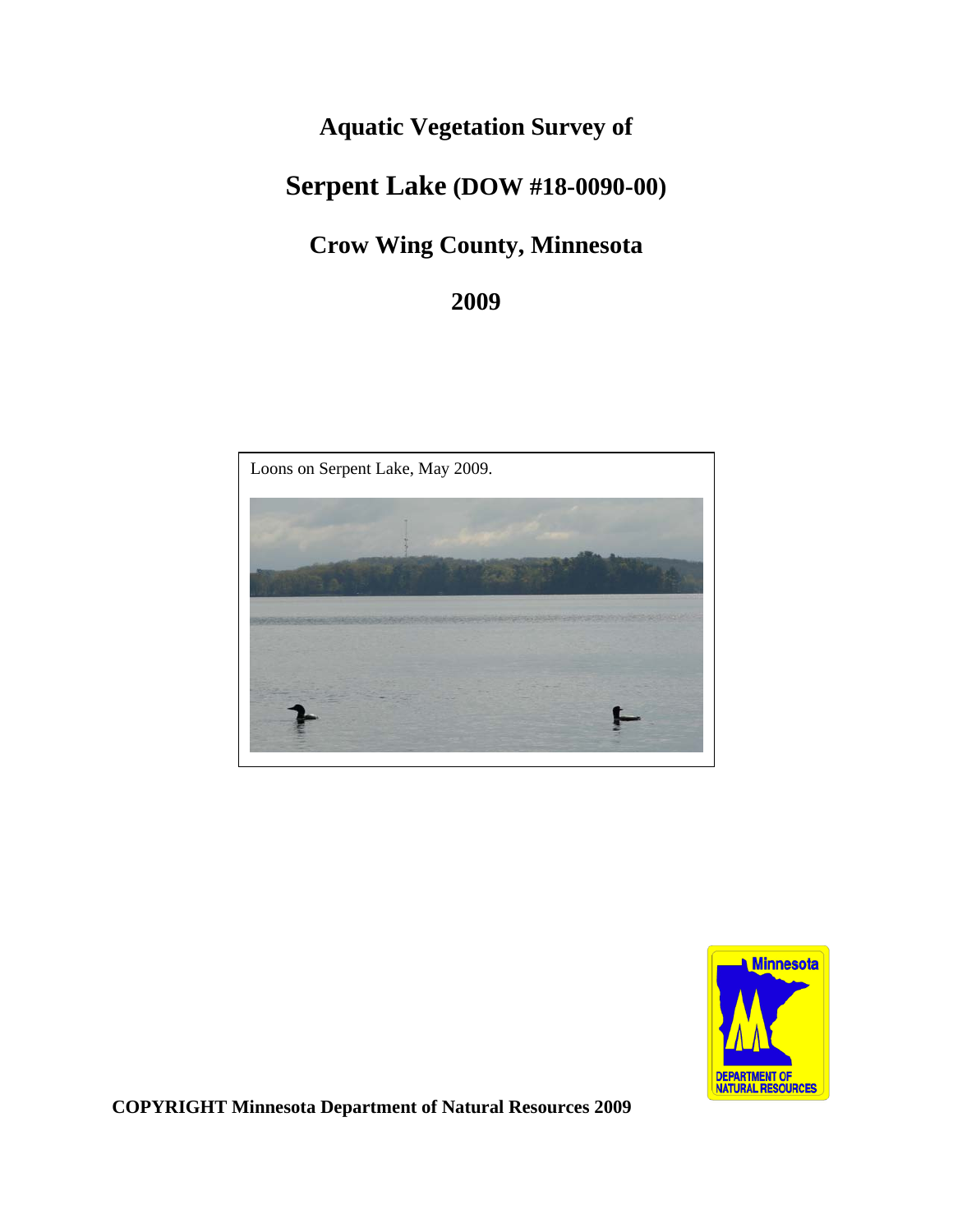# **Aquatic Vegetation Survey of**

# **Serpent Lake (DOW #18-0090-00)**

# **Crow Wing County, Minnesota**

## **2009**





**COPYRIGHT Minnesota Department of Natural Resources 2009**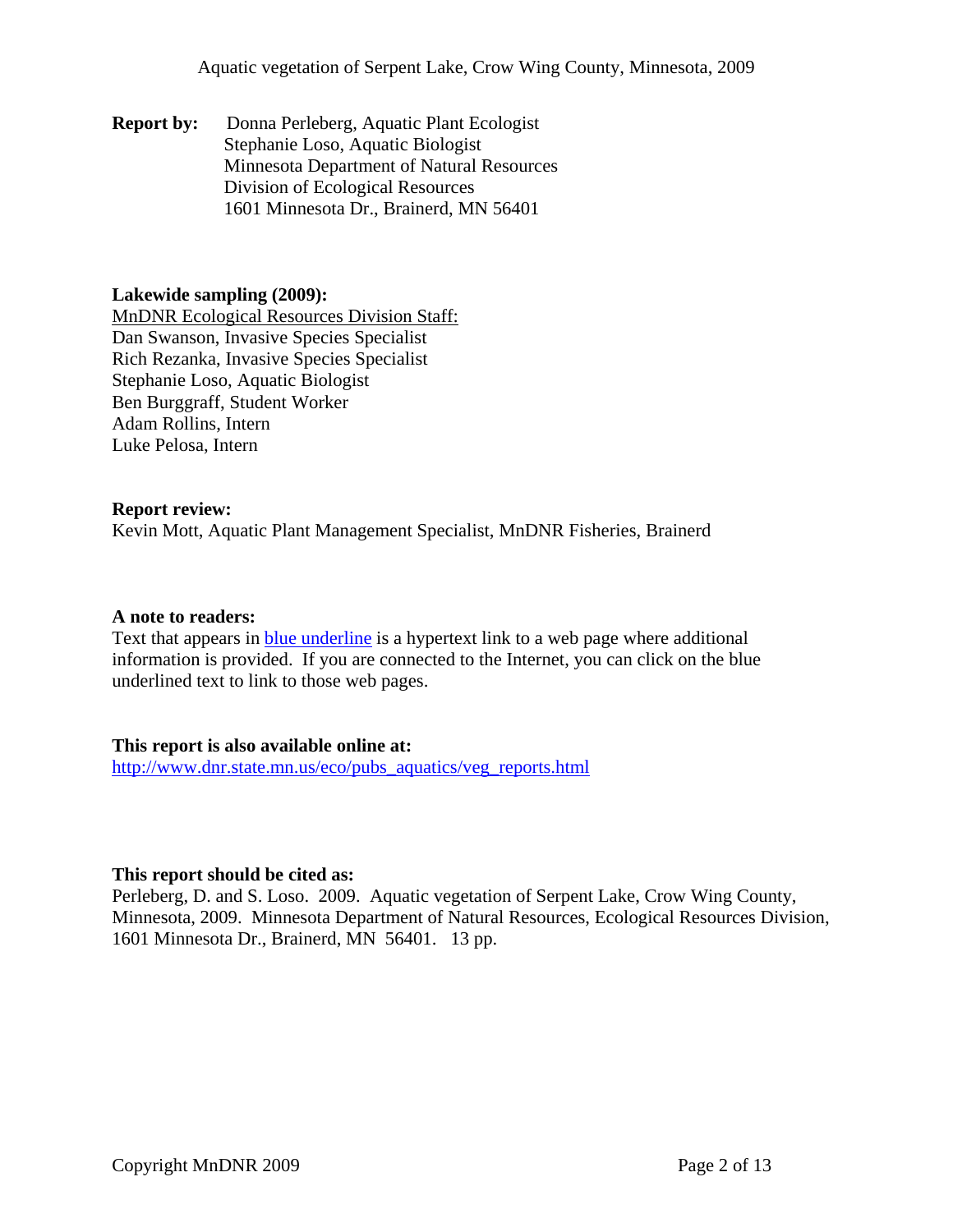#### **Report by:** Donna Perleberg, Aquatic Plant Ecologist Stephanie Loso, Aquatic Biologist Minnesota Department of Natural Resources Division of Ecological Resources 1601 Minnesota Dr., Brainerd, MN 56401

#### **Lakewide sampling (2009):**

Dan Swanson, Invasive Species Specialist MnDNR Ecological Resources Division Staff: Rich Rezanka, Invasive Species Specialist Stephanie Loso, Aquatic Biologist Ben Burggraff, Student Worker Adam Rollins, Intern Luke Pelosa, Intern

#### **Report review:**

Kevin Mott, Aquatic Plant Management Specialist, MnDNR Fisheries, Brainerd

#### **A note to readers:**

Text that appears in blue underline is a hypertext link to a web page where additional information is provided. If you are connected to the Internet, you can click on the blue underlined text to link to those web pages.

#### **This report is also available online at:**

[http://www.dnr.state.mn.us/eco/pubs\\_aquatics/veg\\_reports.html](http://www.dnr.state.mn.us/eco/pubs_aquatics/veg_reports.html)

#### **This report should be cited as:**

Perleberg, D. and S. Loso. 2009. Aquatic vegetation of Serpent Lake, Crow Wing County, Minnesota, 2009. Minnesota Department of Natural Resources, Ecological Resources Division, 1601 Minnesota Dr., Brainerd, MN 56401. 13 pp.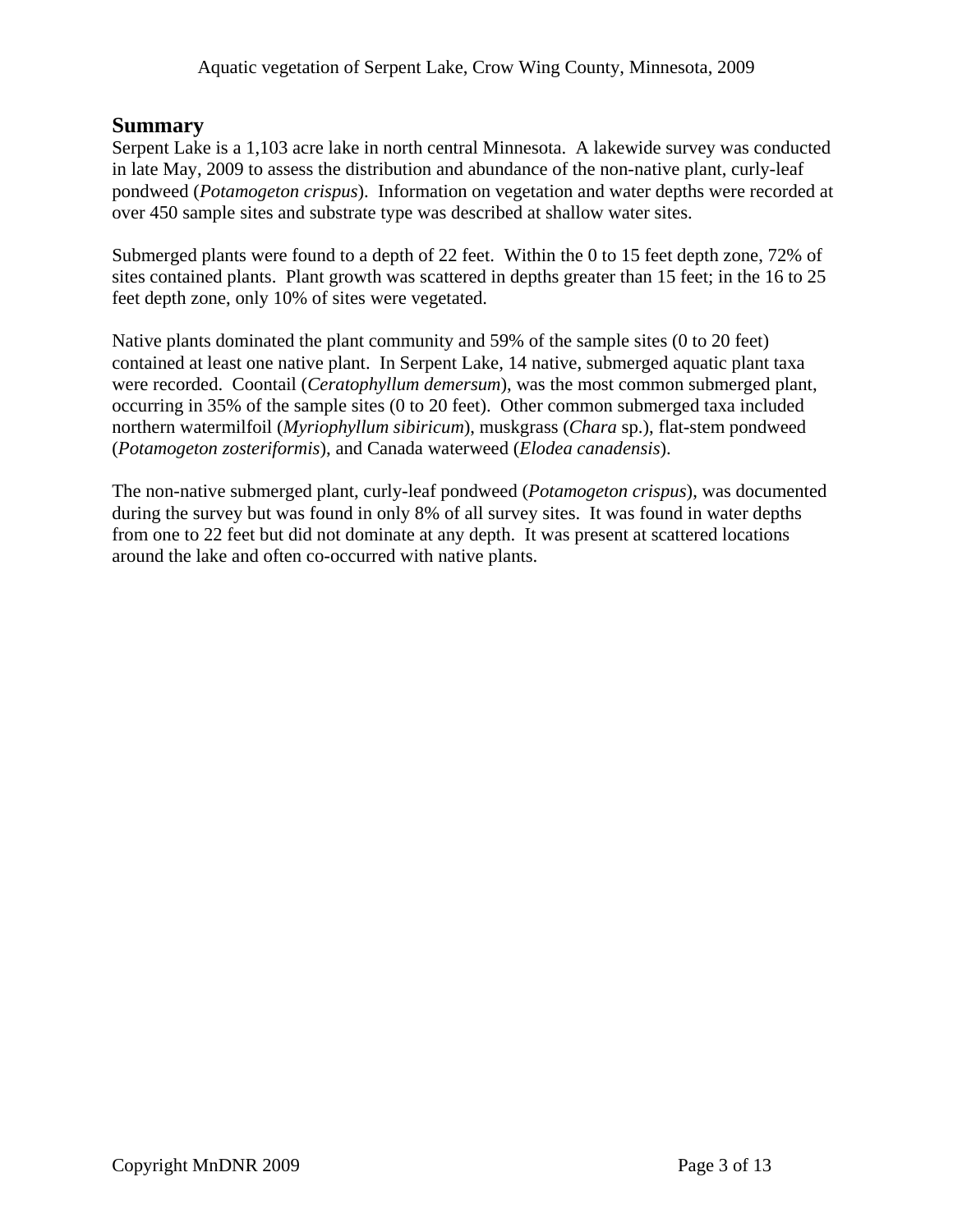### **Summary**

Serpent Lake is a 1,103 acre lake in north central Minnesota. A lakewide survey was conducted in late May, 2009 to assess the distribution and abundance of the non-native plant, curly-leaf pondweed (*Potamogeton crispus*). Information on vegetation and water depths were recorded at over 450 sample sites and substrate type was described at shallow water sites.

Submerged plants were found to a depth of 22 feet. Within the 0 to 15 feet depth zone, 72% of sites contained plants. Plant growth was scattered in depths greater than 15 feet; in the 16 to 25 feet depth zone, only 10% of sites were vegetated.

Native plants dominated the plant community and 59% of the sample sites (0 to 20 feet) contained at least one native plant. In Serpent Lake, 14 native, submerged aquatic plant taxa were recorded. Coontail (*Ceratophyllum demersum*), was the most common submerged plant, occurring in 35% of the sample sites (0 to 20 feet). Other common submerged taxa included northern watermilfoil (*Myriophyllum sibiricum*), muskgrass (*Chara* sp.), flat-stem pondweed (*Potamogeton zosteriformis*), and Canada waterweed (*Elodea canadensis*).

The non-native submerged plant, curly-leaf pondweed (*Potamogeton crispus*), was documented during the survey but was found in only 8% of all survey sites. It was found in water depths from one to 22 feet but did not dominate at any depth. It was present at scattered locations around the lake and often co-occurred with native plants.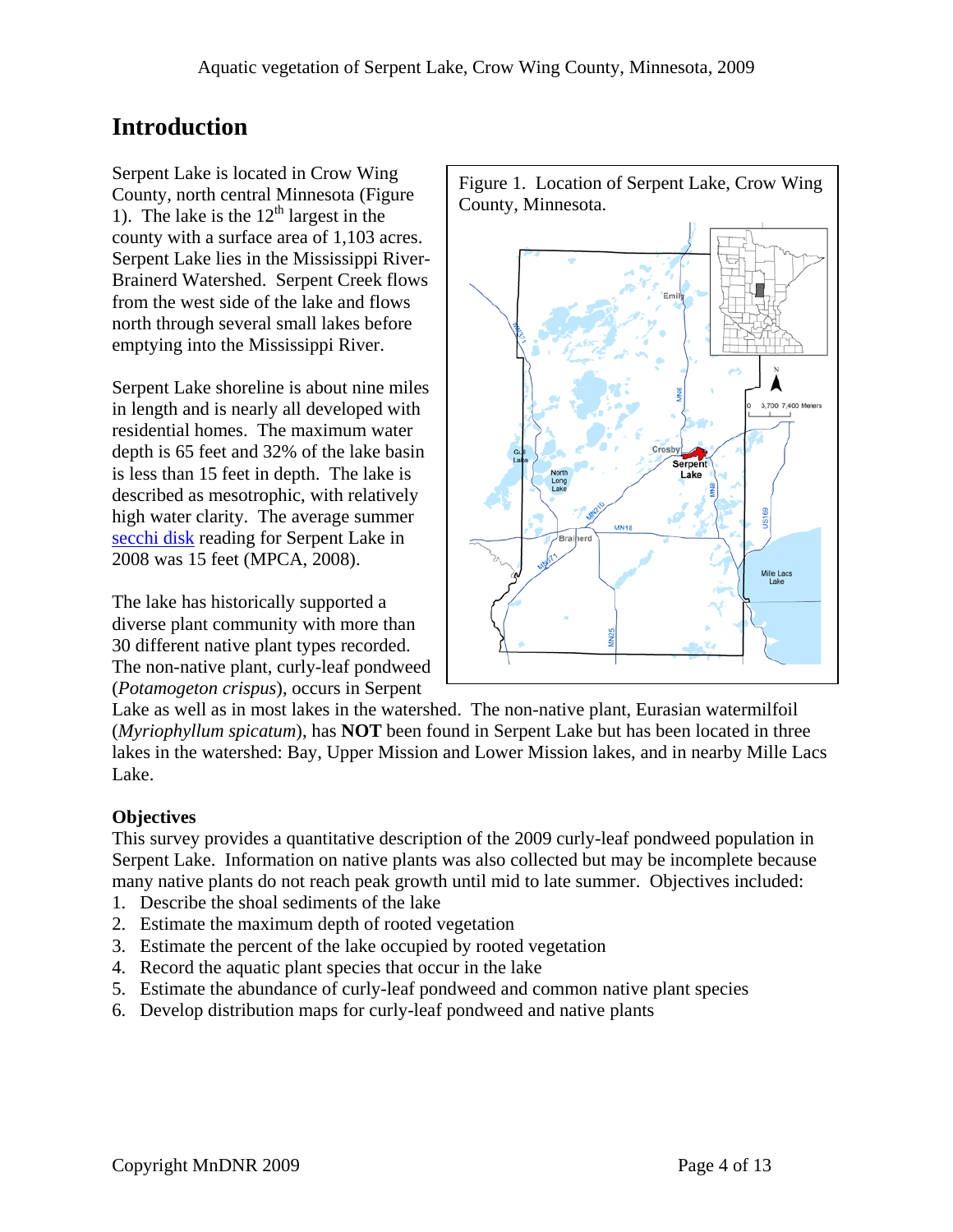## **Introduction**

Serpent Lake is located in Crow Wing County, north central Minnesota (Figure 1). The lake is the  $12<sup>th</sup>$  largest in the county with a surface area of 1,103 acres. Serpent Lake lies in the Mississippi River-Brainerd Watershed. Serpent Creek flows from the west side of the lake and flows north through several small lakes before emptying into the Mississippi River.

Serpent Lake shoreline is about nine miles in length and is nearly all developed with residential homes. The maximum water depth is 65 feet and 32% of the lake basin is less than 15 feet in depth. The lake is described as mesotrophic, with relatively high water clarity. The average summer [secchi disk](http://www.pca.state.mn.us/water/secchi-slideshow.html) reading for Serpent Lake in 2008 was 15 feet (MPCA, 2008).

The lake has historically supported a diverse plant community with more than 30 different native plant types recorded. The non-native plant, curly-leaf pondweed (*Potamogeton crispus*), occurs in Serpent



Lake as well as in most lakes in the watershed. The non-native plant, Eurasian watermilfoil (*Myriophyllum spicatum*), has **NOT** been found in Serpent Lake but has been located in three lakes in the watershed: Bay, Upper Mission and Lower Mission lakes, and in nearby Mille Lacs Lake.

## **Objectives**

This survey provides a quantitative description of the 2009 curly-leaf pondweed population in Serpent Lake. Information on native plants was also collected but may be incomplete because many native plants do not reach peak growth until mid to late summer. Objectives included:

- 1. Describe the shoal sediments of the lake
- 2. Estimate the maximum depth of rooted vegetation
- 3. Estimate the percent of the lake occupied by rooted vegetation
- 4. Record the aquatic plant species that occur in the lake
- 5. Estimate the abundance of curly-leaf pondweed and common native plant species
- 6. Develop distribution maps for curly-leaf pondweed and native plants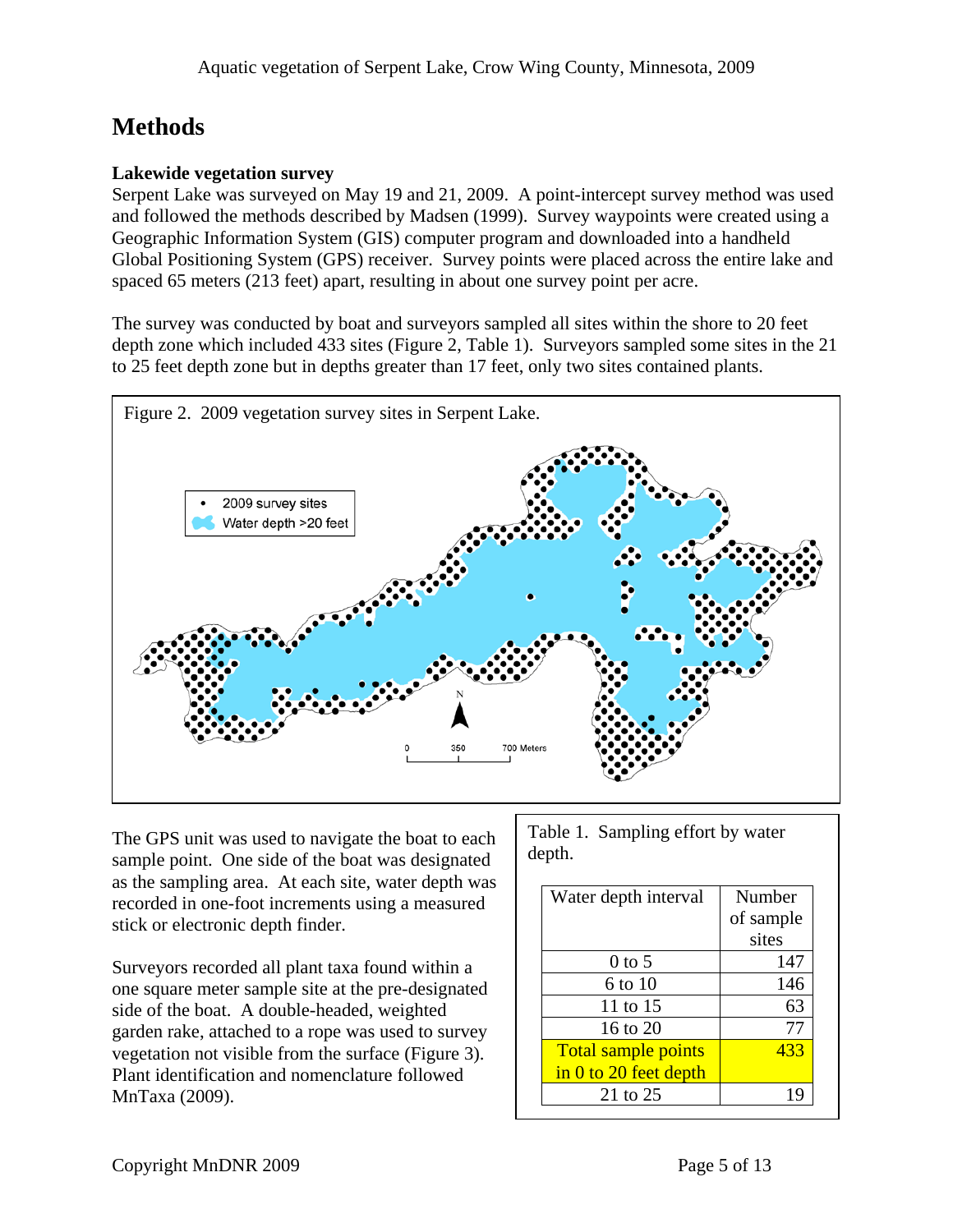## **Methods**

### **Lakewide vegetation survey**

Serpent Lake was surveyed on May 19 and 21, 2009. A point-intercept survey method was used and followed the methods described by Madsen (1999). Survey waypoints were created using a Geographic Information System (GIS) computer program and downloaded into a handheld Global Positioning System (GPS) receiver. Survey points were placed across the entire lake and spaced 65 meters (213 feet) apart, resulting in about one survey point per acre.

The survey was conducted by boat and surveyors sampled all sites within the shore to 20 feet depth zone which included 433 sites (Figure 2, Table 1). Surveyors sampled some sites in the 21 to 25 feet depth zone but in depths greater than 17 feet, only two sites contained plants.



The GPS unit was used to navigate the boat to each sample point. One side of the boat was designated as the sampling area. At each site, water depth was recorded in one-foot increments using a measured stick or electronic depth finder.

Surveyors recorded all plant taxa found within a one square meter sample site at the pre-designated side of the boat. A double-headed, weighted garden rake, attached to a rope was used to survey vegetation not visible from the surface (Figure 3). Plant identification and nomenclature followed MnTaxa (2009).

Table 1. Sampling effort by water depth.

| Water depth interval       | Number    |
|----------------------------|-----------|
|                            | of sample |
|                            | sites     |
| $0$ to 5                   | 147       |
| 6 to 10                    | 146       |
| 11 to 15                   | 63        |
| 16 to $20$                 | 77        |
| <b>Total sample points</b> | 433       |
| $\sin 0$ to 20 feet depth  |           |
| 21 to $25$                 |           |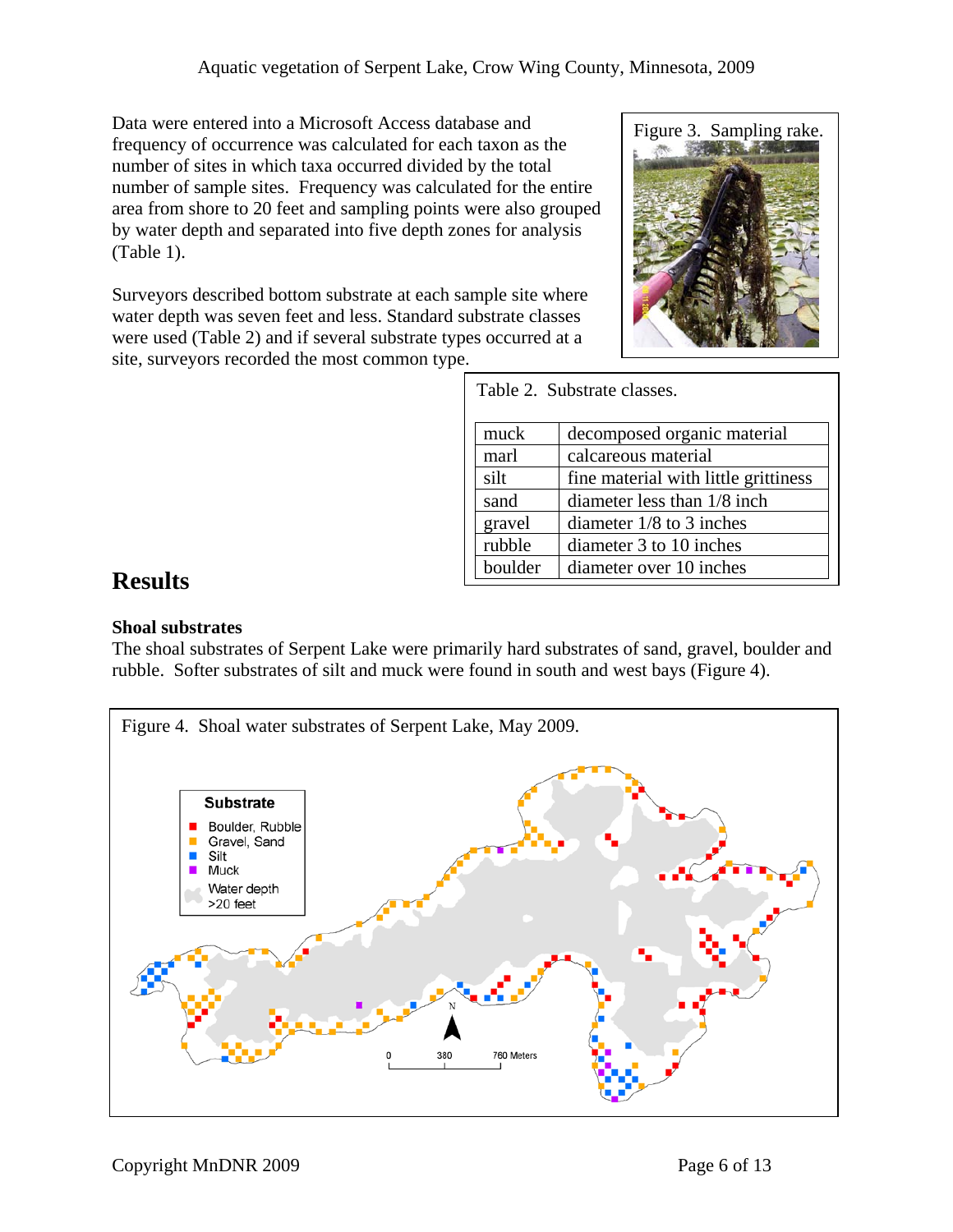Data were entered into a Microsoft Access database and frequency of occurrence was calculated for each taxon as the number of sites in which taxa occurred divided by the total number of sample sites. Frequency was calculated for the entire area from shore to 20 feet and sampling points were also grouped by water depth and separated into five depth zones for analysis (Table 1).

Surveyors described bottom substrate at each sample site where water depth was seven feet and less. Standard substrate classes were used (Table 2) and if several substrate types occurred at a site, surveyors recorded the most common type.



|         | Table 2. Substrate classes.          |
|---------|--------------------------------------|
| muck    | decomposed organic material          |
| marl    | calcareous material                  |
| silt    | fine material with little grittiness |
| sand    | diameter less than 1/8 inch          |
| gravel  | diameter $1/8$ to 3 inches           |
| rubble  | diameter 3 to 10 inches              |
| boulder | diameter over 10 inches              |

## **Results**

### **Shoal substrates**

The shoal substrates of Serpent Lake were primarily hard substrates of sand, gravel, boulder and rubble. Softer substrates of silt and muck were found in south and west bays (Figure 4).

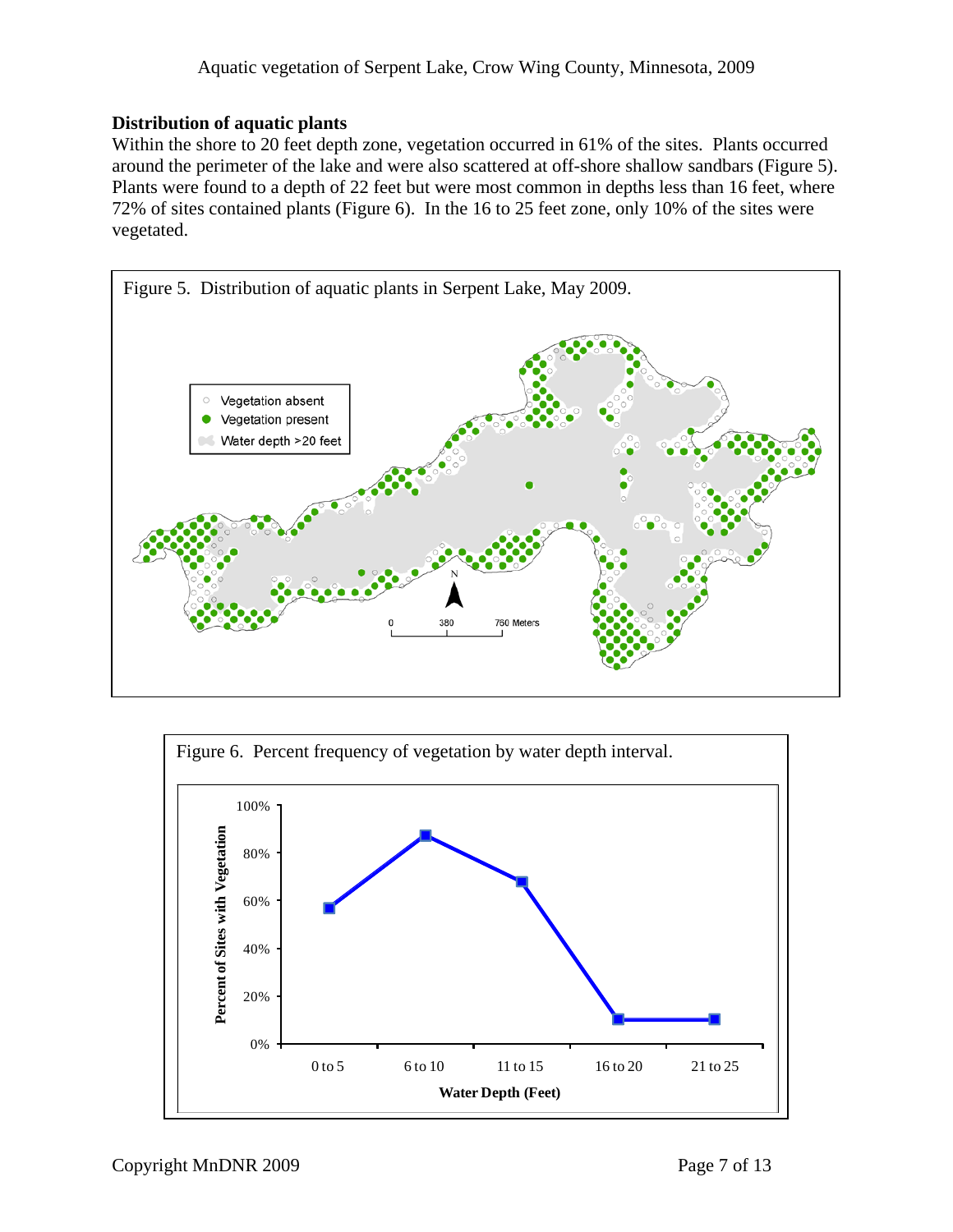### **Distribution of aquatic plants**

Within the shore to 20 feet depth zone, vegetation occurred in 61% of the sites. Plants occurred around the perimeter of the lake and were also scattered at off-shore shallow sandbars (Figure 5). Plants were found to a depth of 22 feet but were most common in depths less than 16 feet, where 72% of sites contained plants (Figure 6). In the 16 to 25 feet zone, only 10% of the sites were vegetated.



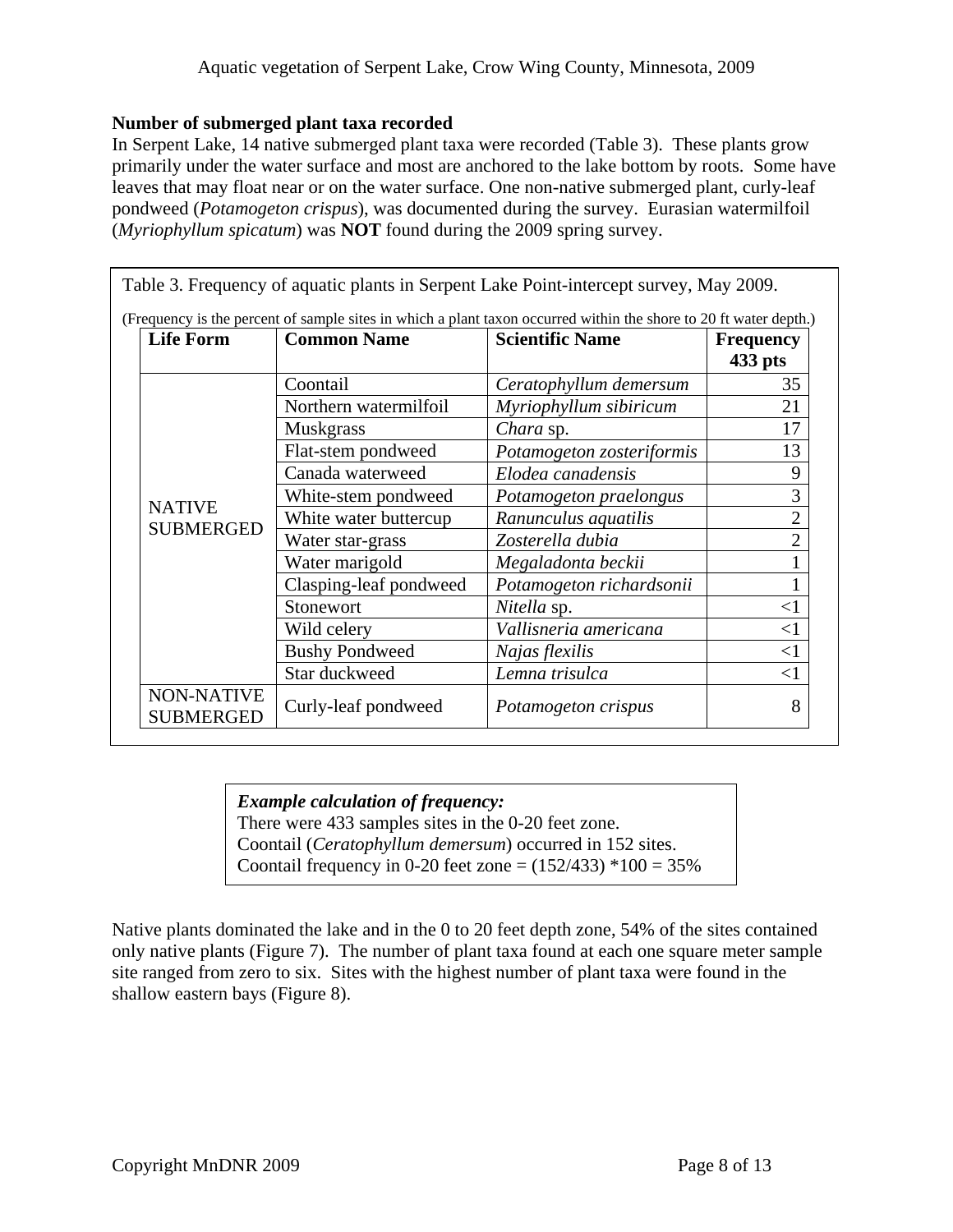#### **Number of submerged plant taxa recorded**

In Serpent Lake, 14 native submerged plant taxa were recorded (Table 3). These plants grow primarily under the water surface and most are anchored to the lake bottom by roots. Some have leaves that may float near or on the water surface. One non-native submerged plant, curly-leaf pondweed (*Potamogeton crispus*), was documented during the survey. Eurasian watermilfoil (*Myriophyllum spicatum*) was **NOT** found during the 2009 spring survey.

| <b>Life Form</b>                      | <b>Common Name</b>     | <b>Scientific Name</b>    | <b>Frequency</b><br>$433$ pts |
|---------------------------------------|------------------------|---------------------------|-------------------------------|
| <b>NATIVE</b><br><b>SUBMERGED</b>     | Coontail               | Ceratophyllum demersum    | 35                            |
|                                       | Northern watermilfoil  | Myriophyllum sibiricum    | 21                            |
|                                       | Muskgrass              | Chara sp.                 | 17                            |
|                                       | Flat-stem pondweed     | Potamogeton zosteriformis | 13                            |
|                                       | Canada waterweed       | Elodea canadensis         | 9                             |
|                                       | White-stem pondweed    | Potamogeton praelongus    | 3                             |
|                                       | White water buttercup  | Ranunculus aquatilis      | $\overline{2}$                |
|                                       | Water star-grass       | Zosterella dubia          | $\overline{2}$                |
|                                       | Water marigold         | Megaladonta beckii        |                               |
|                                       | Clasping-leaf pondweed | Potamogeton richardsonii  |                               |
|                                       | Stonewort              | Nitella sp.               | $<$ 1                         |
|                                       | Wild celery            | Vallisneria americana     | $<$ 1                         |
|                                       | <b>Bushy Pondweed</b>  | Najas flexilis            | <1                            |
|                                       | Star duckweed          | Lemna trisulca            | $<$ 1                         |
| <b>NON-NATIVE</b><br><b>SUBMERGED</b> | Curly-leaf pondweed    | Potamogeton crispus       | 8                             |

### *Example calculation of frequency:*

There were 433 samples sites in the 0-20 feet zone.

Coontail (*Ceratophyllum demersum*) occurred in 152 sites.

Coontail frequency in 0-20 feet zone =  $(152/433)$  \*100 = 35%

Native plants dominated the lake and in the 0 to 20 feet depth zone, 54% of the sites contained only native plants (Figure 7). The number of plant taxa found at each one square meter sample site ranged from zero to six. Sites with the highest number of plant taxa were found in the shallow eastern bays (Figure 8).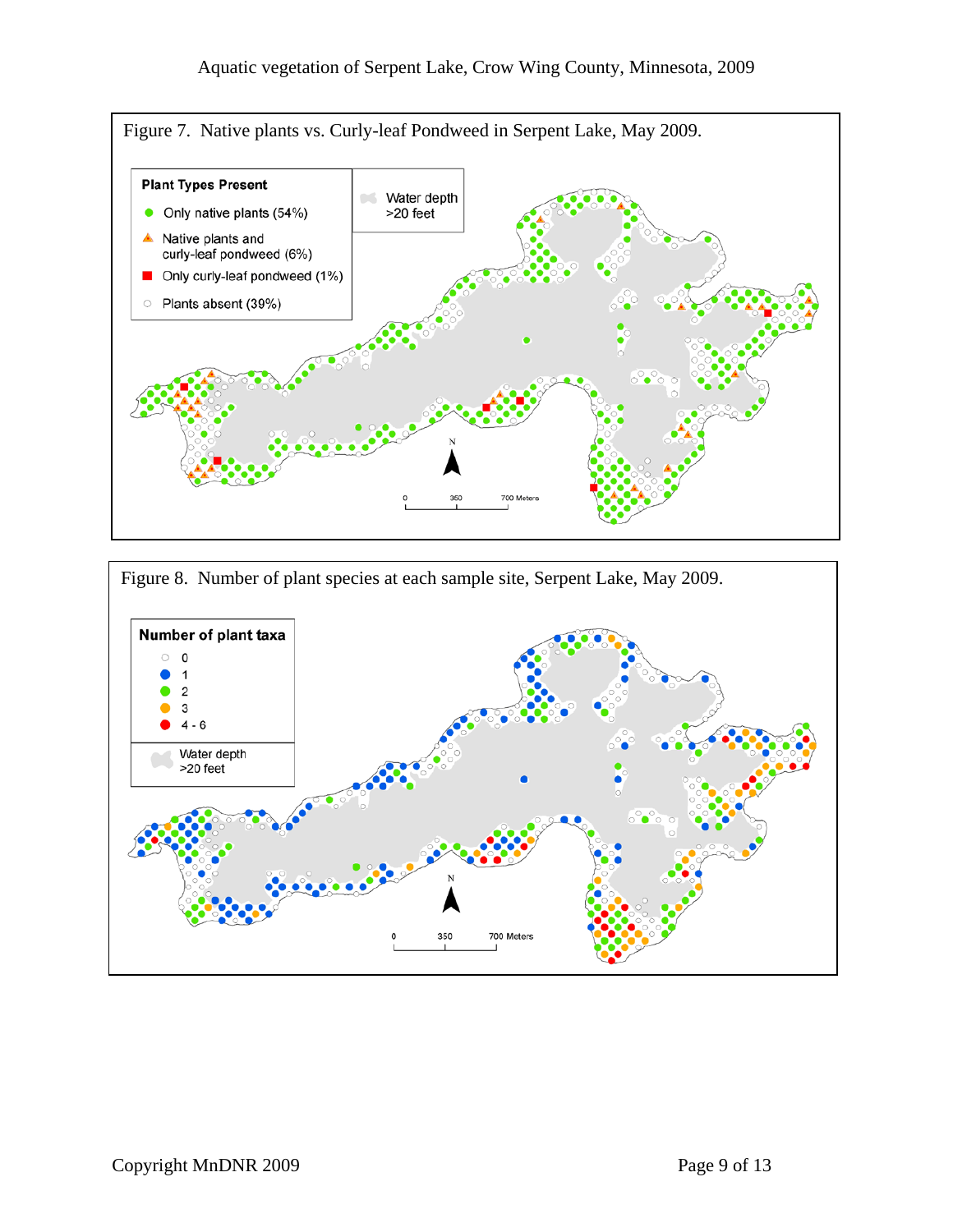

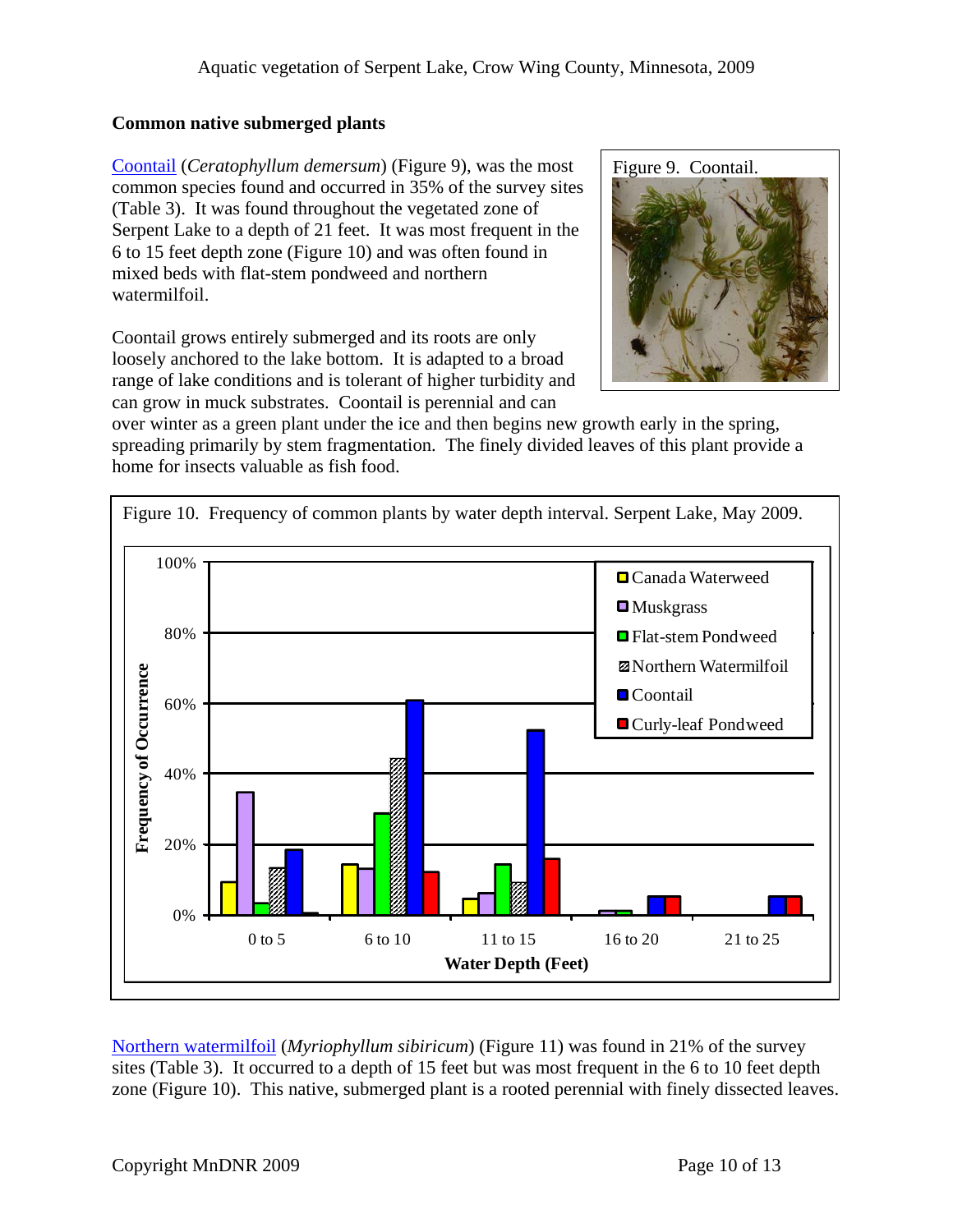### **Common native submerged plants**

[Coontail](http://www.dnr.state.mn.us/aquatic_plants/submerged_plants/coontail.html) (*Ceratophyllum demersum*) (Figure 9), was the most common species found and occurred in 35% of the survey sites (Table 3). It was found throughout the vegetated zone of Serpent Lake to a depth of 21 feet. It was most frequent in the 6 to 15 feet depth zone (Figure 10) and was often found in mixed beds with flat-stem pondweed and northern watermilfoil.

Coontail grows entirely submerged and its roots are only loosely anchored to the lake bottom. It is adapted to a broad range of lake conditions and is tolerant of higher turbidity and can grow in muck substrates. Coontail is perennial and can



over winter as a green plant under the ice and then begins new growth early in the spring, spreading primarily by stem fragmentation. The finely divided leaves of this plant provide a home for insects valuable as fish food.



 [Northern watermilfoil](http://www.dnr.state.mn.us/aquatic_plants/submerged_plants/northern_watermilfoil.html) (*Myriophyllum sibiricum*) (Figure 11) was found in 21% of the survey sites (Table 3). It occurred to a depth of 15 feet but was most frequent in the 6 to 10 feet depth zone (Figure 10). This native, submerged plant is a rooted perennial with finely dissected leaves.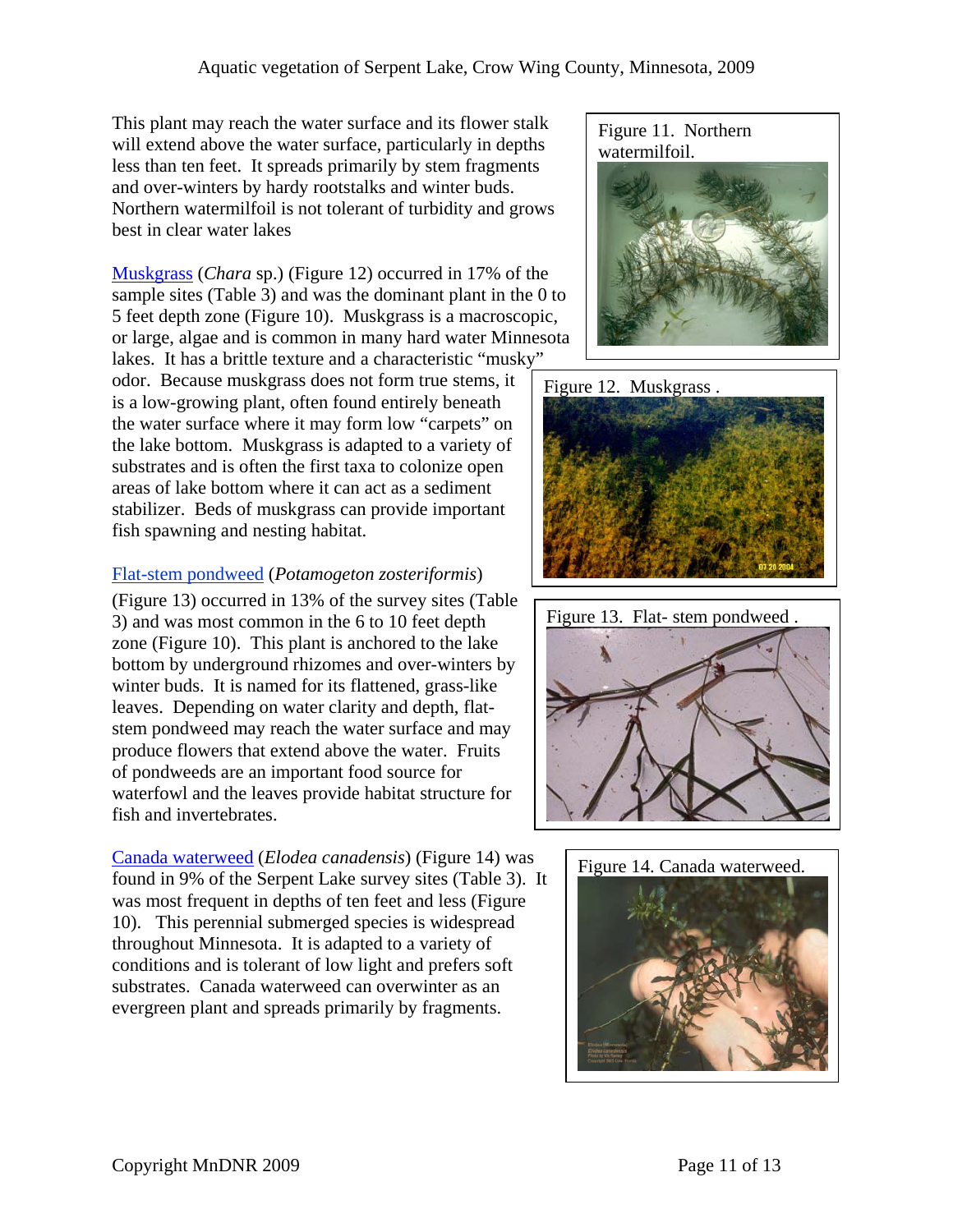This plant may reach the water surface and its flower stalk will extend above the water surface, particularly in depths less than ten feet. It spreads primarily by stem fragments and over-winters by hardy rootstalks and winter buds. Northern watermilfoil is not tolerant of turbidity and grows best in clear water lakes

[Muskgrass](http://www.dnr.state.mn.us/aquatic_plants/algae/chara.html) (*Chara* sp.) (Figure 12) occurred in 17% of the sample sites (Table 3) and was the dominant plant in the 0 to 5 feet depth zone (Figure 10). Muskgrass is a macroscopic, or large, algae and is common in many hard water Minnesota lakes. It has a brittle texture and a characteristic "musky"

odor. Because muskgrass does not form true stems, it is a low-growing plant, often found entirely beneath the water surface where it may form low "carpets" on the lake bottom. Muskgrass is adapted to a variety of substrates and is often the first taxa to colonize open areas of lake bottom where it can act as a sediment stabilizer. Beds of muskgrass can provide important fish spawning and nesting habitat.

### [Flat-stem pondweed](http://www.dnr.state.mn.us/aquatic_plants/submerged_plants/narrowleaf_pondweeds.html) (*Potamogeton zosteriformis*)

(Figure 13) occurred in 13% of the survey sites (Table 3) and was most common in the 6 to 10 feet depth zone (Figure 10). This plant is anchored to the lake bottom by underground rhizomes and over-winters by winter buds. It is named for its flattened, grass-like leaves. Depending on water clarity and depth, flatstem pondweed may reach the water surface and may produce flowers that extend above the water. Fruits of pondweeds are an important food source for waterfowl and the leaves provide habitat structure for fish and invertebrates.

[Canada waterweed](http://www.dnr.state.mn.us/aquatic_plants/submerged_plants/canada_waterweed.html) (*Elodea canadensis*) (Figure 14) was found in 9% of the Serpent Lake survey sites (Table 3). It was most frequent in depths of ten feet and less (Figure 10). This perennial submerged species is widespread throughout Minnesota. It is adapted to a variety of conditions and is tolerant of low light and prefers soft substrates. Canada waterweed can overwinter as an evergreen plant and spreads primarily by fragments.







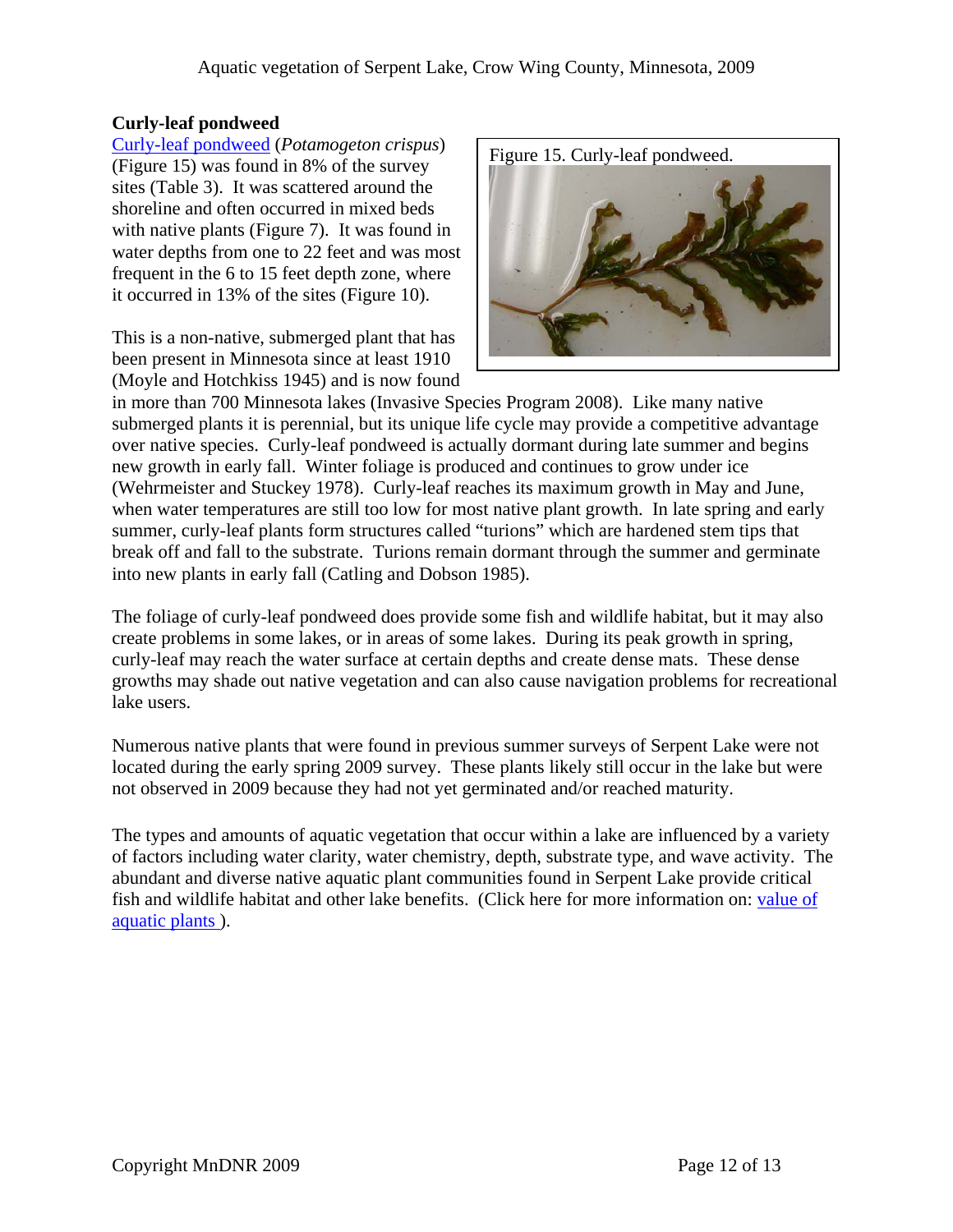### **Curly-leaf pondweed**

[Curly-leaf pondweed](http://www.dnr.state.mn.us/aquatic_plants/submerged_plants/curlyleaf_pondweed.html) (*Potamogeton crispus*) (Figure 15) was found in 8% of the survey sites (Table 3). It was scattered around the shoreline and often occurred in mixed beds with native plants (Figure 7). It was found in water depths from one to 22 feet and was most frequent in the 6 to 15 feet depth zone, where it occurred in 13% of the sites (Figure 10).

This is a non-native, submerged plant that has been present in Minnesota since at least 1910 (Moyle and Hotchkiss 1945) and is now found



in more than 700 Minnesota lakes (Invasive Species Program 2008). Like many native submerged plants it is perennial, but its unique life cycle may provide a competitive advantage over native species. Curly-leaf pondweed is actually dormant during late summer and begins new growth in early fall. Winter foliage is produced and continues to grow under ice (Wehrmeister and Stuckey 1978). Curly-leaf reaches its maximum growth in May and June, when water temperatures are still too low for most native plant growth. In late spring and early summer, curly-leaf plants form structures called "turions" which are hardened stem tips that break off and fall to the substrate. Turions remain dormant through the summer and germinate into new plants in early fall (Catling and Dobson 1985).

The foliage of curly-leaf pondweed does provide some fish and wildlife habitat, but it may also create problems in some lakes, or in areas of some lakes. During its peak growth in spring, curly-leaf may reach the water surface at certain depths and create dense mats. These dense growths may shade out native vegetation and can also cause navigation problems for recreational lake users.

Numerous native plants that were found in previous summer surveys of Serpent Lake were not located during the early spring 2009 survey. These plants likely still occur in the lake but were not observed in 2009 because they had not yet germinated and/or reached maturity.

The types and amounts of aquatic vegetation that occur within a lake are influenced by a variety of factors including water clarity, water chemistry, depth, substrate type, and wave activity. The abundant and diverse native aquatic plant communities found in Serpent Lake provide critical fish and wildlife habitat and other lake benefits. (Click here for more information on: [value of](http://www.dnr.state.mn.us/shorelandmgmt/apg/value.html)  [aquatic plants \)](http://www.dnr.state.mn.us/shorelandmgmt/apg/value.html).